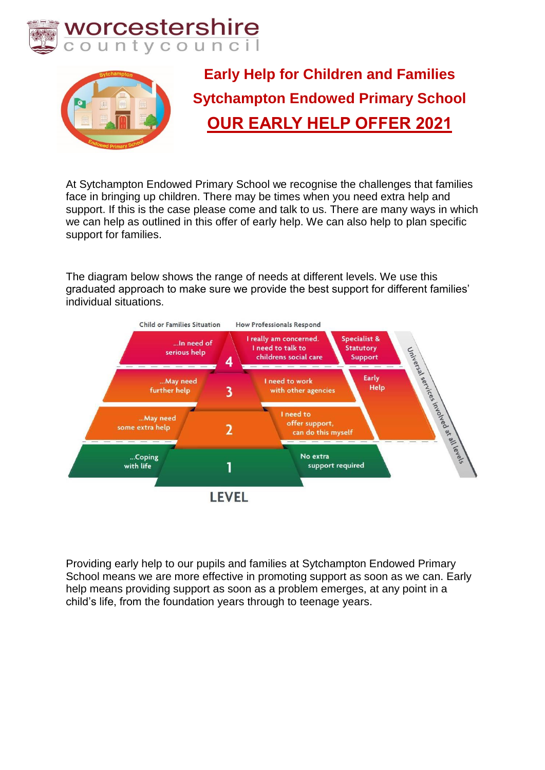



**Early Help for Children and Families Sytchampton Endowed Primary School OUR EARLY HELP OFFER 2021**

At Sytchampton Endowed Primary School we recognise the challenges that families face in bringing up children. There may be times when you need extra help and support. If this is the case please come and talk to us. There are many ways in which we can help as outlined in this offer of early help. We can also help to plan specific support for families.

The diagram below shows the range of needs at different levels. We use this graduated approach to make sure we provide the best support for different families' individual situations.



Providing early help to our pupils and families at Sytchampton Endowed Primary School means we are more effective in promoting support as soon as we can. Early help means providing support as soon as a problem emerges, at any point in a child's life, from the foundation years through to teenage years.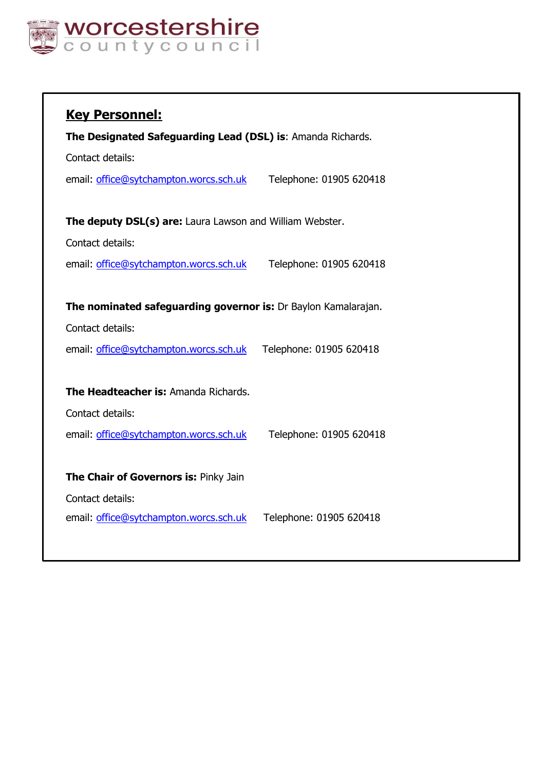

| <b>Key Personnel:</b>                                          |                         |
|----------------------------------------------------------------|-------------------------|
| The Designated Safeguarding Lead (DSL) is: Amanda Richards.    |                         |
| Contact details:                                               |                         |
| email: office@sytchampton.worcs.sch.uk                         | Telephone: 01905 620418 |
|                                                                |                         |
| The deputy DSL(s) are: Laura Lawson and William Webster.       |                         |
| Contact details:                                               |                         |
| email: office@sytchampton.worcs.sch.uk                         | Telephone: 01905 620418 |
|                                                                |                         |
| The nominated safeguarding governor is: Dr Baylon Kamalarajan. |                         |
| Contact details:                                               |                         |
| email: office@sytchampton.worcs.sch.uk                         | Telephone: 01905 620418 |
|                                                                |                         |
| The Headteacher is: Amanda Richards.                           |                         |
| Contact details:                                               |                         |
| email: office@sytchampton.worcs.sch.uk                         | Telephone: 01905 620418 |
|                                                                |                         |
| The Chair of Governors is: Pinky Jain                          |                         |
| Contact details:                                               |                         |
| email: office@sytchampton.worcs.sch.uk                         | Telephone: 01905 620418 |
|                                                                |                         |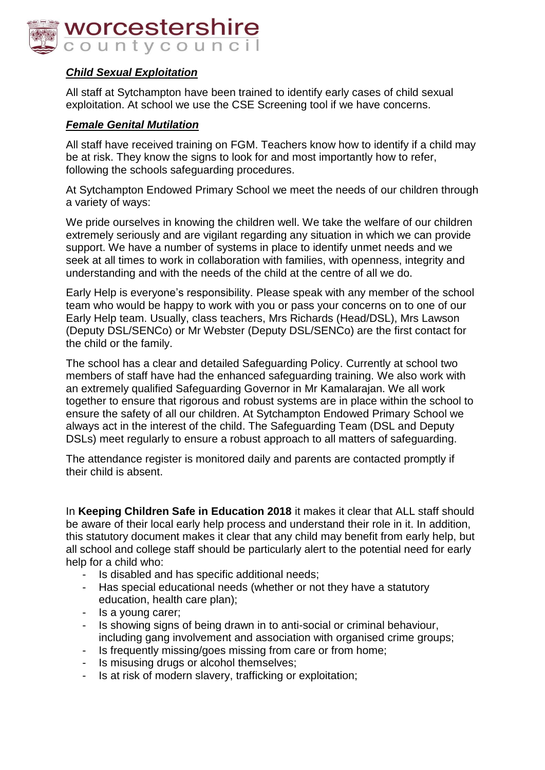

## *Child Sexual Exploitation*

All staff at Sytchampton have been trained to identify early cases of child sexual exploitation. At school we use the CSE Screening tool if we have concerns.

#### *Female Genital Mutilation*

All staff have received training on FGM. Teachers know how to identify if a child may be at risk. They know the signs to look for and most importantly how to refer, following the schools safeguarding procedures.

At Sytchampton Endowed Primary School we meet the needs of our children through a variety of ways:

We pride ourselves in knowing the children well. We take the welfare of our children extremely seriously and are vigilant regarding any situation in which we can provide support. We have a number of systems in place to identify unmet needs and we seek at all times to work in collaboration with families, with openness, integrity and understanding and with the needs of the child at the centre of all we do.

Early Help is everyone's responsibility. Please speak with any member of the school team who would be happy to work with you or pass your concerns on to one of our Early Help team. Usually, class teachers, Mrs Richards (Head/DSL), Mrs Lawson (Deputy DSL/SENCo) or Mr Webster (Deputy DSL/SENCo) are the first contact for the child or the family.

The school has a clear and detailed Safeguarding Policy. Currently at school two members of staff have had the enhanced safeguarding training. We also work with an extremely qualified Safeguarding Governor in Mr Kamalarajan. We all work together to ensure that rigorous and robust systems are in place within the school to ensure the safety of all our children. At Sytchampton Endowed Primary School we always act in the interest of the child. The Safeguarding Team (DSL and Deputy DSLs) meet regularly to ensure a robust approach to all matters of safeguarding.

The attendance register is monitored daily and parents are contacted promptly if their child is absent.

In **Keeping Children Safe in Education 2018** it makes it clear that ALL staff should be aware of their local early help process and understand their role in it. In addition, this statutory document makes it clear that any child may benefit from early help, but all school and college staff should be particularly alert to the potential need for early help for a child who:

- Is disabled and has specific additional needs;
- Has special educational needs (whether or not they have a statutory education, health care plan);
- Is a young carer;
- Is showing signs of being drawn in to anti-social or criminal behaviour, including gang involvement and association with organised crime groups;
- Is frequently missing/goes missing from care or from home;
- Is misusing drugs or alcohol themselves;
- Is at risk of modern slavery, trafficking or exploitation;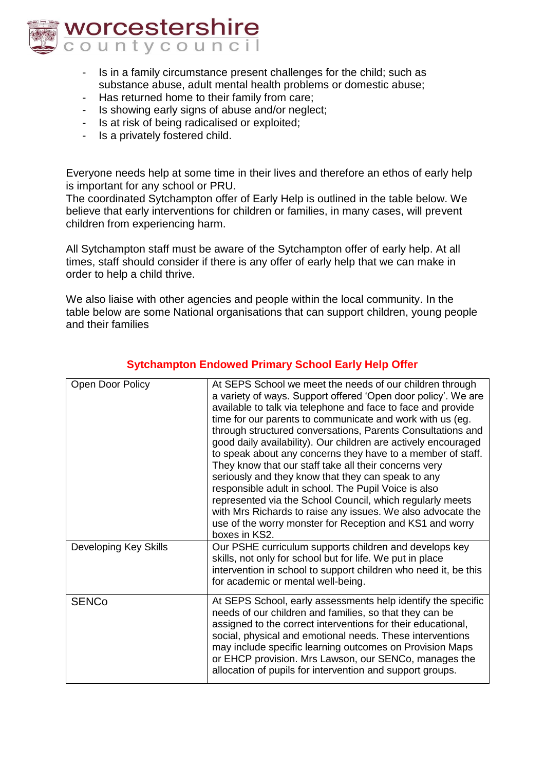

- Is in a family circumstance present challenges for the child; such as substance abuse, adult mental health problems or domestic abuse;
- Has returned home to their family from care;
- Is showing early signs of abuse and/or neglect;
- Is at risk of being radicalised or exploited;
- Is a privately fostered child.

Everyone needs help at some time in their lives and therefore an ethos of early help is important for any school or PRU.

The coordinated Sytchampton offer of Early Help is outlined in the table below. We believe that early interventions for children or families, in many cases, will prevent children from experiencing harm.

All Sytchampton staff must be aware of the Sytchampton offer of early help. At all times, staff should consider if there is any offer of early help that we can make in order to help a child thrive.

We also liaise with other agencies and people within the local community. In the table below are some National organisations that can support children, young people and their families

| Open Door Policy      | At SEPS School we meet the needs of our children through<br>a variety of ways. Support offered 'Open door policy'. We are<br>available to talk via telephone and face to face and provide<br>time for our parents to communicate and work with us (eg.<br>through structured conversations, Parents Consultations and<br>good daily availability). Our children are actively encouraged<br>to speak about any concerns they have to a member of staff.<br>They know that our staff take all their concerns very<br>seriously and they know that they can speak to any<br>responsible adult in school. The Pupil Voice is also<br>represented via the School Council, which regularly meets<br>with Mrs Richards to raise any issues. We also advocate the<br>use of the worry monster for Reception and KS1 and worry<br>boxes in KS2. |
|-----------------------|----------------------------------------------------------------------------------------------------------------------------------------------------------------------------------------------------------------------------------------------------------------------------------------------------------------------------------------------------------------------------------------------------------------------------------------------------------------------------------------------------------------------------------------------------------------------------------------------------------------------------------------------------------------------------------------------------------------------------------------------------------------------------------------------------------------------------------------|
| Developing Key Skills | Our PSHE curriculum supports children and develops key<br>skills, not only for school but for life. We put in place<br>intervention in school to support children who need it, be this<br>for academic or mental well-being.                                                                                                                                                                                                                                                                                                                                                                                                                                                                                                                                                                                                           |
| <b>SENCo</b>          | At SEPS School, early assessments help identify the specific<br>needs of our children and families, so that they can be<br>assigned to the correct interventions for their educational,<br>social, physical and emotional needs. These interventions<br>may include specific learning outcomes on Provision Maps<br>or EHCP provision. Mrs Lawson, our SENCo, manages the<br>allocation of pupils for intervention and support groups.                                                                                                                                                                                                                                                                                                                                                                                                 |

### **Sytchampton Endowed Primary School Early Help Offer**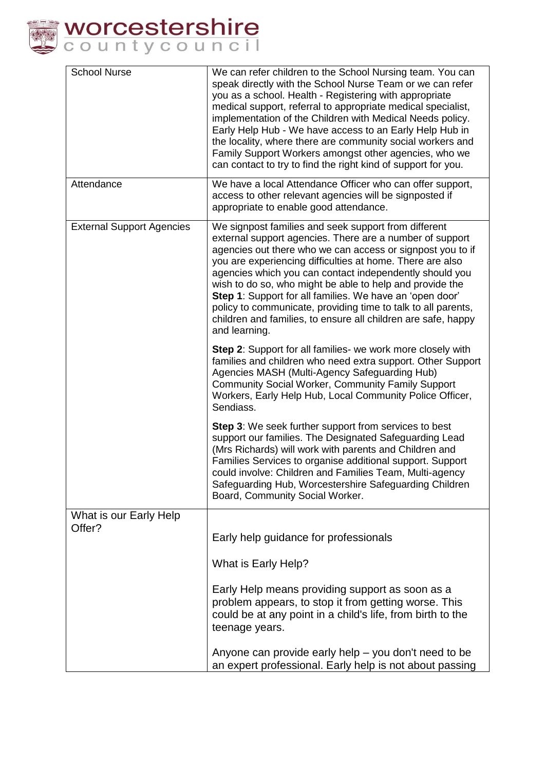

| <b>School Nurse</b>              | We can refer children to the School Nursing team. You can<br>speak directly with the School Nurse Team or we can refer<br>you as a school. Health - Registering with appropriate<br>medical support, referral to appropriate medical specialist,<br>implementation of the Children with Medical Needs policy.<br>Early Help Hub - We have access to an Early Help Hub in<br>the locality, where there are community social workers and<br>Family Support Workers amongst other agencies, who we<br>can contact to try to find the right kind of support for you.                  |
|----------------------------------|-----------------------------------------------------------------------------------------------------------------------------------------------------------------------------------------------------------------------------------------------------------------------------------------------------------------------------------------------------------------------------------------------------------------------------------------------------------------------------------------------------------------------------------------------------------------------------------|
| Attendance                       | We have a local Attendance Officer who can offer support,<br>access to other relevant agencies will be signposted if<br>appropriate to enable good attendance.                                                                                                                                                                                                                                                                                                                                                                                                                    |
| <b>External Support Agencies</b> | We signpost families and seek support from different<br>external support agencies. There are a number of support<br>agencies out there who we can access or signpost you to if<br>you are experiencing difficulties at home. There are also<br>agencies which you can contact independently should you<br>wish to do so, who might be able to help and provide the<br>Step 1: Support for all families. We have an 'open door'<br>policy to communicate, providing time to talk to all parents,<br>children and families, to ensure all children are safe, happy<br>and learning. |
|                                  | Step 2: Support for all families- we work more closely with<br>families and children who need extra support. Other Support<br>Agencies MASH (Multi-Agency Safeguarding Hub)<br>Community Social Worker, Community Family Support<br>Workers, Early Help Hub, Local Community Police Officer,<br>Sendiass.                                                                                                                                                                                                                                                                         |
|                                  | Step 3: We seek further support from services to best<br>support our families. The Designated Safeguarding Lead<br>(Mrs Richards) will work with parents and Children and<br>Families Services to organise additional support. Support<br>could involve: Children and Families Team, Multi-agency<br>Safeguarding Hub, Worcestershire Safeguarding Children<br>Board, Community Social Worker.                                                                                                                                                                                    |
| What is our Early Help<br>Offer? |                                                                                                                                                                                                                                                                                                                                                                                                                                                                                                                                                                                   |
|                                  | Early help guidance for professionals                                                                                                                                                                                                                                                                                                                                                                                                                                                                                                                                             |
|                                  | What is Early Help?                                                                                                                                                                                                                                                                                                                                                                                                                                                                                                                                                               |
|                                  | Early Help means providing support as soon as a<br>problem appears, to stop it from getting worse. This<br>could be at any point in a child's life, from birth to the<br>teenage years.                                                                                                                                                                                                                                                                                                                                                                                           |
|                                  | Anyone can provide early help - you don't need to be<br>an expert professional. Early help is not about passing                                                                                                                                                                                                                                                                                                                                                                                                                                                                   |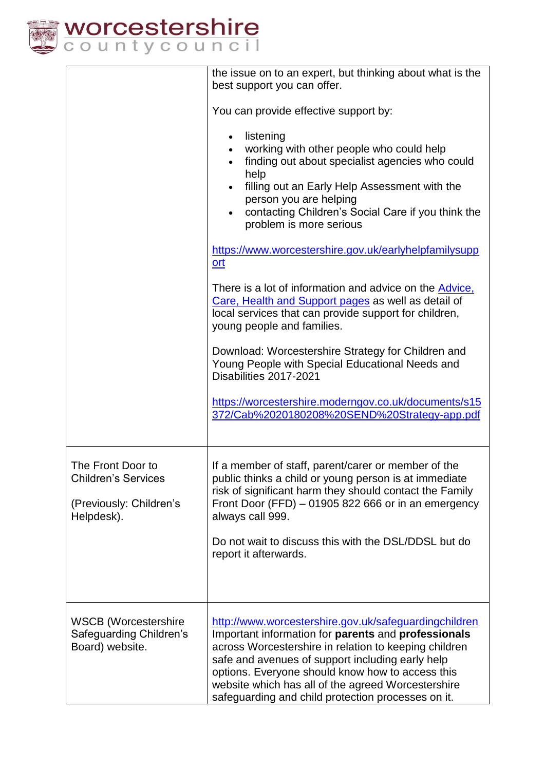

|                                                                                          | the issue on to an expert, but thinking about what is the<br>best support you can offer.                                                                                                                                                                                                                                                                                                  |
|------------------------------------------------------------------------------------------|-------------------------------------------------------------------------------------------------------------------------------------------------------------------------------------------------------------------------------------------------------------------------------------------------------------------------------------------------------------------------------------------|
|                                                                                          | You can provide effective support by:                                                                                                                                                                                                                                                                                                                                                     |
|                                                                                          | listening<br>$\bullet$<br>working with other people who could help<br>finding out about specialist agencies who could<br>help<br>filling out an Early Help Assessment with the<br>person you are helping<br>contacting Children's Social Care if you think the<br>problem is more serious                                                                                                 |
|                                                                                          | https://www.worcestershire.gov.uk/earlyhelpfamilysupp<br>ort                                                                                                                                                                                                                                                                                                                              |
|                                                                                          | There is a lot of information and advice on the <b>Advice</b> ,<br>Care, Health and Support pages as well as detail of<br>local services that can provide support for children,<br>young people and families.                                                                                                                                                                             |
|                                                                                          | Download: Worcestershire Strategy for Children and<br>Young People with Special Educational Needs and<br>Disabilities 2017-2021                                                                                                                                                                                                                                                           |
|                                                                                          | https://worcestershire.moderngov.co.uk/documents/s15<br>372/Cab%2020180208%20SEND%20Strategy-app.pdf                                                                                                                                                                                                                                                                                      |
| The Front Door to<br><b>Children's Services</b><br>(Previously: Children's<br>Helpdesk). | If a member of staff, parent/carer or member of the<br>public thinks a child or young person is at immediate<br>risk of significant harm they should contact the Family<br>Front Door (FFD) $-01905822666$ or in an emergency<br>always call 999.                                                                                                                                         |
|                                                                                          | Do not wait to discuss this with the DSL/DDSL but do<br>report it afterwards.                                                                                                                                                                                                                                                                                                             |
| <b>WSCB</b> (Worcestershire<br>Safeguarding Children's<br>Board) website.                | http://www.worcestershire.gov.uk/safeguardingchildren<br>Important information for parents and professionals<br>across Worcestershire in relation to keeping children<br>safe and avenues of support including early help<br>options. Everyone should know how to access this<br>website which has all of the agreed Worcestershire<br>safeguarding and child protection processes on it. |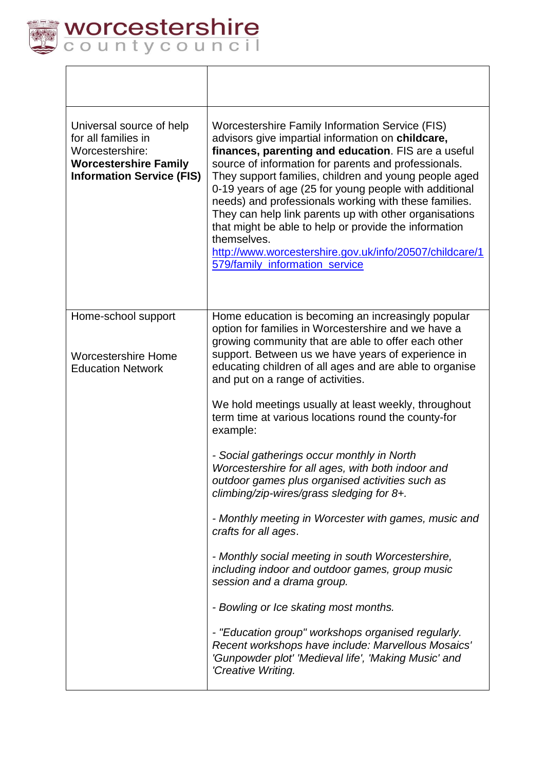

 $\overline{\Gamma}$ 

| Universal source of help<br>for all families in<br>Worcestershire:<br><b>Worcestershire Family</b><br><b>Information Service (FIS)</b> | Worcestershire Family Information Service (FIS)<br>advisors give impartial information on childcare,<br>finances, parenting and education. FIS are a useful<br>source of information for parents and professionals.<br>They support families, children and young people aged<br>0-19 years of age (25 for young people with additional<br>needs) and professionals working with these families.<br>They can help link parents up with other organisations<br>that might be able to help or provide the information<br>themselves.<br>http://www.worcestershire.gov.uk/info/20507/childcare/1<br>579/family information service                                                                                                                                                                                                                                                                                                                                                                                                                                                                                |
|----------------------------------------------------------------------------------------------------------------------------------------|---------------------------------------------------------------------------------------------------------------------------------------------------------------------------------------------------------------------------------------------------------------------------------------------------------------------------------------------------------------------------------------------------------------------------------------------------------------------------------------------------------------------------------------------------------------------------------------------------------------------------------------------------------------------------------------------------------------------------------------------------------------------------------------------------------------------------------------------------------------------------------------------------------------------------------------------------------------------------------------------------------------------------------------------------------------------------------------------------------------|
| Home-school support<br><b>Worcestershire Home</b><br><b>Education Network</b>                                                          | Home education is becoming an increasingly popular<br>option for families in Worcestershire and we have a<br>growing community that are able to offer each other<br>support. Between us we have years of experience in<br>educating children of all ages and are able to organise<br>and put on a range of activities.<br>We hold meetings usually at least weekly, throughout<br>term time at various locations round the county-for<br>example:<br>- Social gatherings occur monthly in North<br>Worcestershire for all ages, with both indoor and<br>outdoor games plus organised activities such as<br>climbing/zip-wires/grass sledging for 8+.<br>- Monthly meeting in Worcester with games, music and<br>crafts for all ages.<br>- Monthly social meeting in south Worcestershire,<br>including indoor and outdoor games, group music<br>session and a drama group.<br>- Bowling or Ice skating most months.<br>- "Education group" workshops organised regularly.<br>Recent workshops have include: Marvellous Mosaics'<br>'Gunpowder plot' 'Medieval life', 'Making Music' and<br>'Creative Writing. |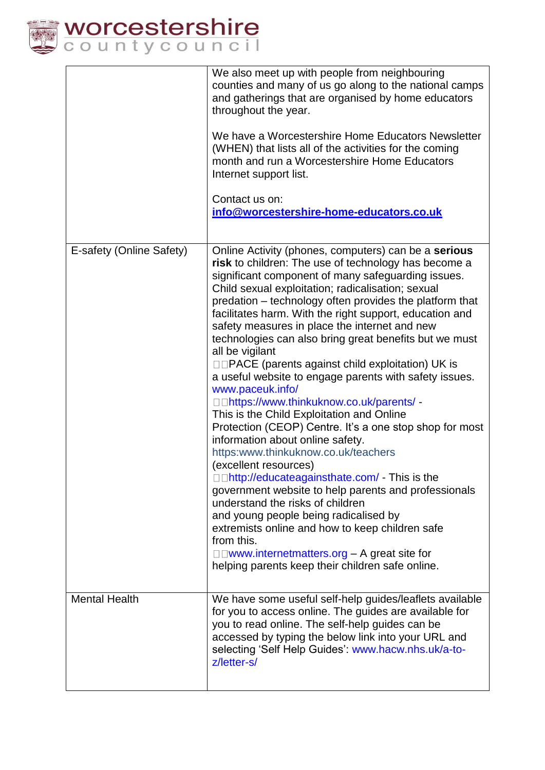

| We also meet up with people from neighbouring<br>counties and many of us go along to the national camps<br>and gatherings that are organised by home educators<br>throughout the year.<br>We have a Worcestershire Home Educators Newsletter<br>(WHEN) that lists all of the activities for the coming<br>month and run a Worcestershire Home Educators<br>Internet support list.<br>Contact us on:<br>info@worcestershire-home-educators.co.uk<br>E-safety (Online Safety)<br>Online Activity (phones, computers) can be a serious<br>risk to children: The use of technology has become a<br>significant component of many safeguarding issues.<br>Child sexual exploitation; radicalisation; sexual<br>predation – technology often provides the platform that<br>facilitates harm. With the right support, education and<br>safety measures in place the internet and new<br>technologies can also bring great benefits but we must<br>all be vigilant<br>$\square \square$ PACE (parents against child exploitation) UK is<br>a useful website to engage parents with safety issues.<br>www.paceuk.info/<br>□□https://www.thinkuknow.co.uk/parents/ -<br>This is the Child Exploitation and Online<br>Protection (CEOP) Centre. It's a one stop shop for most<br>information about online safety.<br>https:www.thinkuknow.co.uk/teachers<br>(excellent resources)<br>$\square$ http://educateagainsthate.com/ - This is the<br>government website to help parents and professionals<br>understand the risks of children<br>and young people being radicalised by<br>extremists online and how to keep children safe<br>from this.<br>□□www.internetmatters.org – A great site for<br>helping parents keep their children safe online.<br><b>Mental Health</b><br>We have some useful self-help guides/leaflets available<br>for you to access online. The guides are available for<br>you to read online. The self-help guides can be<br>accessed by typing the below link into your URL and<br>selecting 'Self Help Guides': www.hacw.nhs.uk/a-to-<br>z/letter-s/ |  |
|-------------------------------------------------------------------------------------------------------------------------------------------------------------------------------------------------------------------------------------------------------------------------------------------------------------------------------------------------------------------------------------------------------------------------------------------------------------------------------------------------------------------------------------------------------------------------------------------------------------------------------------------------------------------------------------------------------------------------------------------------------------------------------------------------------------------------------------------------------------------------------------------------------------------------------------------------------------------------------------------------------------------------------------------------------------------------------------------------------------------------------------------------------------------------------------------------------------------------------------------------------------------------------------------------------------------------------------------------------------------------------------------------------------------------------------------------------------------------------------------------------------------------------------------------------------------------------------------------------------------------------------------------------------------------------------------------------------------------------------------------------------------------------------------------------------------------------------------------------------------------------------------------------------------------------------------------------------------------------------------------------------------------------------------------------------------------|--|
|                                                                                                                                                                                                                                                                                                                                                                                                                                                                                                                                                                                                                                                                                                                                                                                                                                                                                                                                                                                                                                                                                                                                                                                                                                                                                                                                                                                                                                                                                                                                                                                                                                                                                                                                                                                                                                                                                                                                                                                                                                                                         |  |
|                                                                                                                                                                                                                                                                                                                                                                                                                                                                                                                                                                                                                                                                                                                                                                                                                                                                                                                                                                                                                                                                                                                                                                                                                                                                                                                                                                                                                                                                                                                                                                                                                                                                                                                                                                                                                                                                                                                                                                                                                                                                         |  |
|                                                                                                                                                                                                                                                                                                                                                                                                                                                                                                                                                                                                                                                                                                                                                                                                                                                                                                                                                                                                                                                                                                                                                                                                                                                                                                                                                                                                                                                                                                                                                                                                                                                                                                                                                                                                                                                                                                                                                                                                                                                                         |  |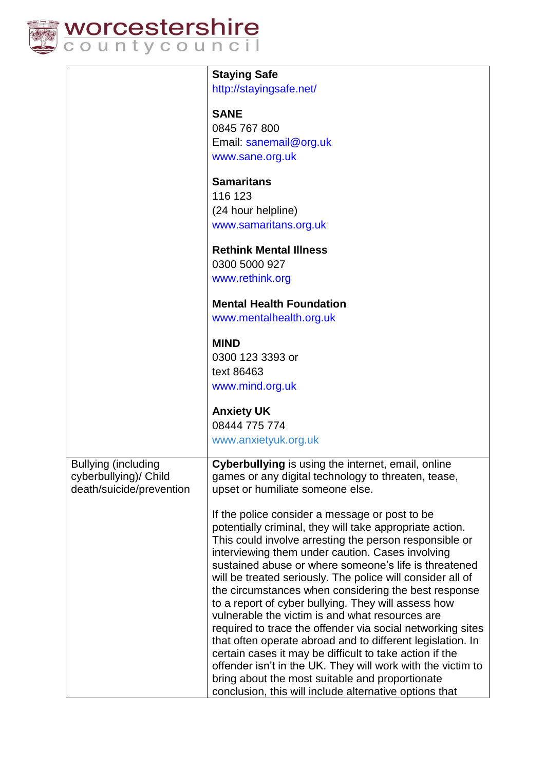

|                                                     | <b>Staying Safe</b>                                                                                                   |
|-----------------------------------------------------|-----------------------------------------------------------------------------------------------------------------------|
|                                                     | http://stayingsafe.net/                                                                                               |
|                                                     | <b>SANE</b>                                                                                                           |
|                                                     | 0845 767 800                                                                                                          |
|                                                     | Email: sanemail@org.uk                                                                                                |
|                                                     | www.sane.org.uk                                                                                                       |
|                                                     |                                                                                                                       |
|                                                     | <b>Samaritans</b>                                                                                                     |
|                                                     | 116 123                                                                                                               |
|                                                     | (24 hour helpline)                                                                                                    |
|                                                     | www.samaritans.org.uk                                                                                                 |
|                                                     | <b>Rethink Mental Illness</b>                                                                                         |
|                                                     | 0300 5000 927                                                                                                         |
|                                                     | www.rethink.org                                                                                                       |
|                                                     | <b>Mental Health Foundation</b>                                                                                       |
|                                                     | www.mentalhealth.org.uk                                                                                               |
|                                                     |                                                                                                                       |
|                                                     | <b>MIND</b>                                                                                                           |
|                                                     | 0300 123 3393 or                                                                                                      |
|                                                     | text 86463                                                                                                            |
|                                                     | www.mind.org.uk                                                                                                       |
|                                                     | <b>Anxiety UK</b>                                                                                                     |
|                                                     | 08444 775 774                                                                                                         |
|                                                     | www.anxietyuk.org.uk                                                                                                  |
|                                                     | Cyberbullying is using the internet, email, online                                                                    |
| <b>Bullying (including</b><br>cyberbullying)/ Child | games or any digital technology to threaten, tease,                                                                   |
| death/suicide/prevention                            | upset or humiliate someone else.                                                                                      |
|                                                     |                                                                                                                       |
|                                                     | If the police consider a message or post to be                                                                        |
|                                                     | potentially criminal, they will take appropriate action.                                                              |
|                                                     | This could involve arresting the person responsible or<br>interviewing them under caution. Cases involving            |
|                                                     | sustained abuse or where someone's life is threatened                                                                 |
|                                                     | will be treated seriously. The police will consider all of                                                            |
|                                                     | the circumstances when considering the best response                                                                  |
|                                                     | to a report of cyber bullying. They will assess how                                                                   |
|                                                     | vulnerable the victim is and what resources are                                                                       |
|                                                     | required to trace the offender via social networking sites                                                            |
|                                                     | that often operate abroad and to different legislation. In<br>certain cases it may be difficult to take action if the |
|                                                     | offender isn't in the UK. They will work with the victim to                                                           |
|                                                     | bring about the most suitable and proportionate                                                                       |
|                                                     | conclusion, this will include alternative options that                                                                |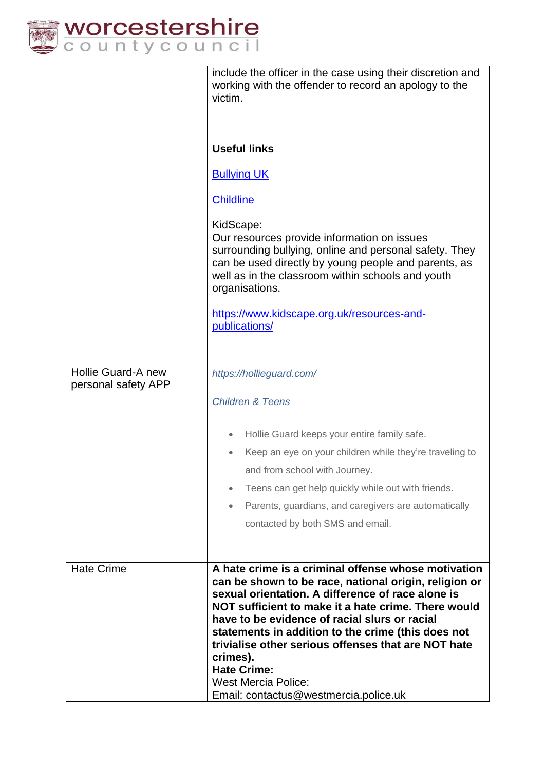

|                                           | include the officer in the case using their discretion and<br>working with the offender to record an apology to the<br>victim.<br><b>Useful links</b><br><b>Bullying UK</b><br><b>Childline</b><br>KidScape:<br>Our resources provide information on issues<br>surrounding bullying, online and personal safety. They<br>can be used directly by young people and parents, as<br>well as in the classroom within schools and youth<br>organisations.<br>https://www.kidscape.org.uk/resources-and-<br>publications/ |
|-------------------------------------------|---------------------------------------------------------------------------------------------------------------------------------------------------------------------------------------------------------------------------------------------------------------------------------------------------------------------------------------------------------------------------------------------------------------------------------------------------------------------------------------------------------------------|
| Hollie Guard-A new<br>personal safety APP | https://hollieguard.com/                                                                                                                                                                                                                                                                                                                                                                                                                                                                                            |
|                                           | <b>Children &amp; Teens</b>                                                                                                                                                                                                                                                                                                                                                                                                                                                                                         |
|                                           | Hollie Guard keeps your entire family safe.<br>Keep an eye on your children while they're traveling to                                                                                                                                                                                                                                                                                                                                                                                                              |
|                                           | and from school with Journey.                                                                                                                                                                                                                                                                                                                                                                                                                                                                                       |
|                                           | Teens can get help quickly while out with friends.<br>$\bullet$                                                                                                                                                                                                                                                                                                                                                                                                                                                     |
|                                           | Parents, guardians, and caregivers are automatically                                                                                                                                                                                                                                                                                                                                                                                                                                                                |
|                                           | contacted by both SMS and email.                                                                                                                                                                                                                                                                                                                                                                                                                                                                                    |
| <b>Hate Crime</b>                         | A hate crime is a criminal offense whose motivation<br>can be shown to be race, national origin, religion or<br>sexual orientation. A difference of race alone is<br>NOT sufficient to make it a hate crime. There would<br>have to be evidence of racial slurs or racial<br>statements in addition to the crime (this does not<br>trivialise other serious offenses that are NOT hate<br>crimes).<br><b>Hate Crime:</b><br><b>West Mercia Police:</b><br>Email: contactus@westmercia.police.uk                     |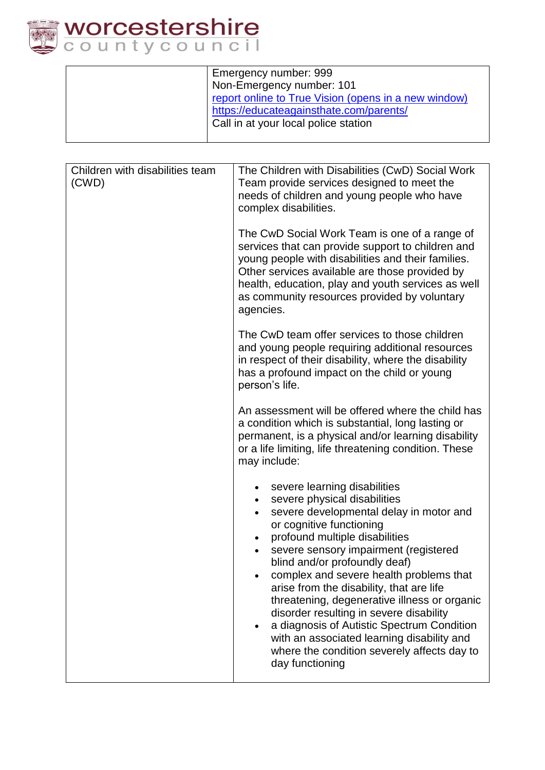

| Emergency number: 999                                |
|------------------------------------------------------|
| Non-Emergency number: 101                            |
| report online to True Vision (opens in a new window) |
| https://educateagainsthate.com/parents/              |
| Call in at your local police station                 |
|                                                      |

| Children with disabilities team<br>(CWD) | The Children with Disabilities (CwD) Social Work<br>Team provide services designed to meet the<br>needs of children and young people who have<br>complex disabilities.                                                                                                                                                                                                                                                                                                                                                                                                                                       |
|------------------------------------------|--------------------------------------------------------------------------------------------------------------------------------------------------------------------------------------------------------------------------------------------------------------------------------------------------------------------------------------------------------------------------------------------------------------------------------------------------------------------------------------------------------------------------------------------------------------------------------------------------------------|
|                                          | The CwD Social Work Team is one of a range of<br>services that can provide support to children and<br>young people with disabilities and their families.<br>Other services available are those provided by<br>health, education, play and youth services as well<br>as community resources provided by voluntary<br>agencies.                                                                                                                                                                                                                                                                                |
|                                          | The CwD team offer services to those children<br>and young people requiring additional resources<br>in respect of their disability, where the disability<br>has a profound impact on the child or young<br>person's life.                                                                                                                                                                                                                                                                                                                                                                                    |
|                                          | An assessment will be offered where the child has<br>a condition which is substantial, long lasting or<br>permanent, is a physical and/or learning disability<br>or a life limiting, life threatening condition. These<br>may include:                                                                                                                                                                                                                                                                                                                                                                       |
|                                          | severe learning disabilities<br>severe physical disabilities<br>$\bullet$<br>severe developmental delay in motor and<br>or cognitive functioning<br>profound multiple disabilities<br>severe sensory impairment (registered<br>blind and/or profoundly deaf)<br>complex and severe health problems that<br>arise from the disability, that are life<br>threatening, degenerative illness or organic<br>disorder resulting in severe disability<br>a diagnosis of Autistic Spectrum Condition<br>with an associated learning disability and<br>where the condition severely affects day to<br>day functioning |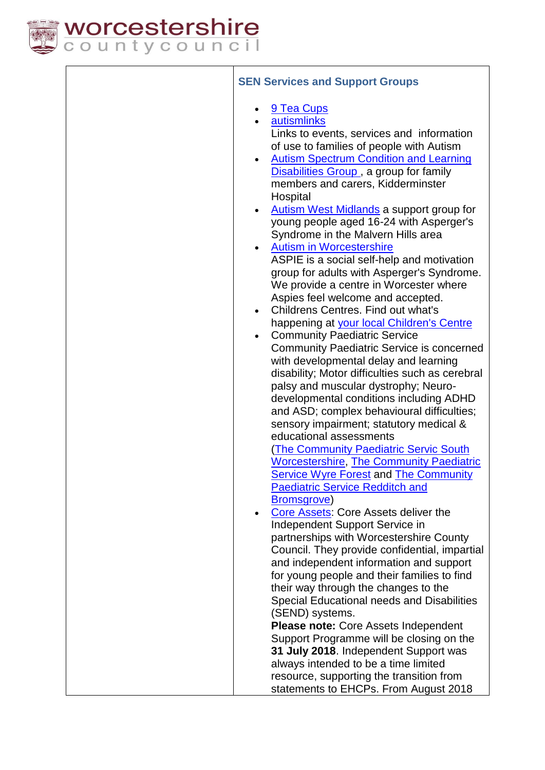

| <b>SEN Services and Support Groups</b>                                                                                                                                                                                                                                                                                                                                                                                                                                                                                                                                                                                                                                                                                                                                                                                                                                                                                                                                                                                                                                                                                                                                                                                                                                                                                                                                                                                                                                                                                                                                                                                                                                                                                                                                                                                                                                                                                                                   |
|----------------------------------------------------------------------------------------------------------------------------------------------------------------------------------------------------------------------------------------------------------------------------------------------------------------------------------------------------------------------------------------------------------------------------------------------------------------------------------------------------------------------------------------------------------------------------------------------------------------------------------------------------------------------------------------------------------------------------------------------------------------------------------------------------------------------------------------------------------------------------------------------------------------------------------------------------------------------------------------------------------------------------------------------------------------------------------------------------------------------------------------------------------------------------------------------------------------------------------------------------------------------------------------------------------------------------------------------------------------------------------------------------------------------------------------------------------------------------------------------------------------------------------------------------------------------------------------------------------------------------------------------------------------------------------------------------------------------------------------------------------------------------------------------------------------------------------------------------------------------------------------------------------------------------------------------------------|
| 9 Tea Cups<br>autismlinks<br>Links to events, services and information<br>of use to families of people with Autism<br><b>Autism Spectrum Condition and Learning</b><br>$\bullet$<br><b>Disabilities Group</b> , a group for family<br>members and carers, Kidderminster<br>Hospital<br><b>Autism West Midlands a support group for</b><br>young people aged 16-24 with Asperger's<br>Syndrome in the Malvern Hills area<br><b>Autism in Worcestershire</b><br>ASPIE is a social self-help and motivation<br>group for adults with Asperger's Syndrome.<br>We provide a centre in Worcester where<br>Aspies feel welcome and accepted.<br>Childrens Centres. Find out what's<br>$\bullet$<br>happening at your local Children's Centre<br><b>Community Paediatric Service</b><br><b>Community Paediatric Service is concerned</b><br>with developmental delay and learning<br>disability; Motor difficulties such as cerebral<br>palsy and muscular dystrophy; Neuro-<br>developmental conditions including ADHD<br>and ASD; complex behavioural difficulties;<br>sensory impairment; statutory medical &<br>educational assessments<br><b>The Community Paediatric Servic South</b><br><b>Worcestershire, The Community Paediatric</b><br><b>Service Wyre Forest and The Community</b><br><b>Paediatric Service Redditch and</b><br><b>Bromsgrove</b> )<br>Core Assets: Core Assets deliver the<br>Independent Support Service in<br>partnerships with Worcestershire County<br>Council. They provide confidential, impartial<br>and independent information and support<br>for young people and their families to find<br>their way through the changes to the<br>Special Educational needs and Disabilities<br>(SEND) systems.<br><b>Please note: Core Assets Independent</b><br>Support Programme will be closing on the<br>31 July 2018. Independent Support was<br>always intended to be a time limited<br>resource, supporting the transition from |
| statements to EHCPs. From August 2018                                                                                                                                                                                                                                                                                                                                                                                                                                                                                                                                                                                                                                                                                                                                                                                                                                                                                                                                                                                                                                                                                                                                                                                                                                                                                                                                                                                                                                                                                                                                                                                                                                                                                                                                                                                                                                                                                                                    |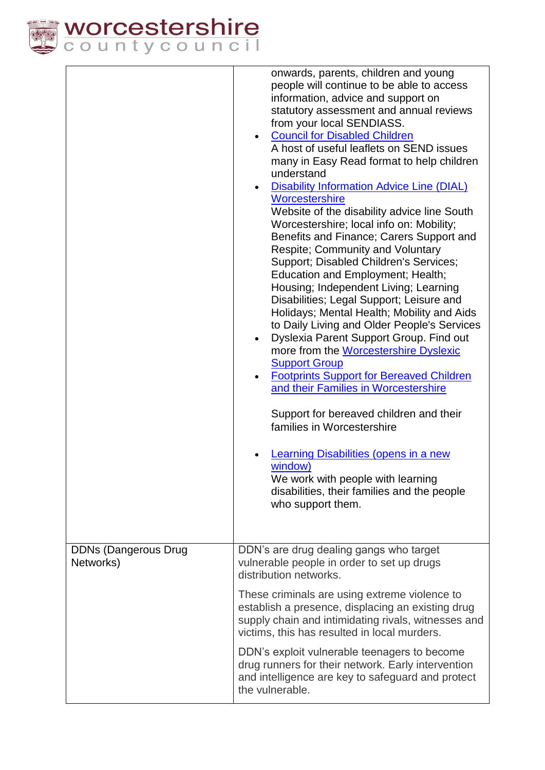

|                                          | onwards, parents, children and young<br>people will continue to be able to access<br>information, advice and support on<br>statutory assessment and annual reviews<br>from your local SENDIASS.<br><b>Council for Disabled Children</b><br>A host of useful leaflets on SEND issues<br>many in Easy Read format to help children<br>understand<br><b>Disability Information Advice Line (DIAL)</b><br>Worcestershire<br>Website of the disability advice line South<br>Worcestershire; local info on: Mobility;<br>Benefits and Finance; Carers Support and<br><b>Respite; Community and Voluntary</b><br>Support; Disabled Children's Services;<br>Education and Employment; Health;<br>Housing; Independent Living; Learning<br>Disabilities; Legal Support; Leisure and<br>Holidays; Mental Health; Mobility and Aids<br>to Daily Living and Older People's Services<br>Dyslexia Parent Support Group. Find out<br>more from the <b>Worcestershire Dyslexic</b><br><b>Support Group</b><br><b>Footprints Support for Bereaved Children</b><br>and their Families in Worcestershire<br>Support for bereaved children and their<br>families in Worcestershire<br>Learning Disabilities (opens in a new<br>window)<br>We work with people with learning<br>disabilities, their families and the people<br>who support them. |
|------------------------------------------|-----------------------------------------------------------------------------------------------------------------------------------------------------------------------------------------------------------------------------------------------------------------------------------------------------------------------------------------------------------------------------------------------------------------------------------------------------------------------------------------------------------------------------------------------------------------------------------------------------------------------------------------------------------------------------------------------------------------------------------------------------------------------------------------------------------------------------------------------------------------------------------------------------------------------------------------------------------------------------------------------------------------------------------------------------------------------------------------------------------------------------------------------------------------------------------------------------------------------------------------------------------------------------------------------------------------------------|
| <b>DDNs (Dangerous Drug</b><br>Networks) | DDN's are drug dealing gangs who target<br>vulnerable people in order to set up drugs<br>distribution networks.                                                                                                                                                                                                                                                                                                                                                                                                                                                                                                                                                                                                                                                                                                                                                                                                                                                                                                                                                                                                                                                                                                                                                                                                             |
|                                          | These criminals are using extreme violence to<br>establish a presence, displacing an existing drug<br>supply chain and intimidating rivals, witnesses and<br>victims, this has resulted in local murders.                                                                                                                                                                                                                                                                                                                                                                                                                                                                                                                                                                                                                                                                                                                                                                                                                                                                                                                                                                                                                                                                                                                   |
|                                          | DDN's exploit vulnerable teenagers to become<br>drug runners for their network. Early intervention<br>and intelligence are key to safeguard and protect<br>the vulnerable.                                                                                                                                                                                                                                                                                                                                                                                                                                                                                                                                                                                                                                                                                                                                                                                                                                                                                                                                                                                                                                                                                                                                                  |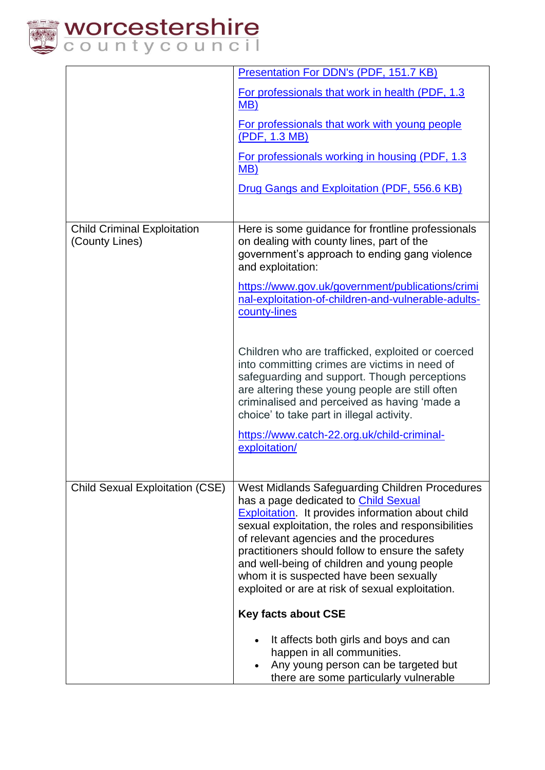

|                                                      | Presentation For DDN's (PDF, 151.7 KB)                                                                                                                                                                                                                                                                                                                                                                                                                |
|------------------------------------------------------|-------------------------------------------------------------------------------------------------------------------------------------------------------------------------------------------------------------------------------------------------------------------------------------------------------------------------------------------------------------------------------------------------------------------------------------------------------|
|                                                      | For professionals that work in health (PDF, 1.3<br>MB)                                                                                                                                                                                                                                                                                                                                                                                                |
|                                                      | For professionals that work with young people<br>(PDF, 1.3 MB)                                                                                                                                                                                                                                                                                                                                                                                        |
|                                                      | For professionals working in housing (PDF, 1.3<br>MB)                                                                                                                                                                                                                                                                                                                                                                                                 |
|                                                      | Drug Gangs and Exploitation (PDF, 556.6 KB)                                                                                                                                                                                                                                                                                                                                                                                                           |
| <b>Child Criminal Exploitation</b><br>(County Lines) | Here is some guidance for frontline professionals<br>on dealing with county lines, part of the<br>government's approach to ending gang violence<br>and exploitation:                                                                                                                                                                                                                                                                                  |
|                                                      | https://www.gov.uk/government/publications/crimi<br>nal-exploitation-of-children-and-vulnerable-adults-<br>county-lines                                                                                                                                                                                                                                                                                                                               |
|                                                      | Children who are trafficked, exploited or coerced<br>into committing crimes are victims in need of<br>safeguarding and support. Though perceptions<br>are altering these young people are still often<br>criminalised and perceived as having 'made a<br>choice' to take part in illegal activity.                                                                                                                                                    |
|                                                      | https://www.catch-22.org.uk/child-criminal-<br>exploitation/                                                                                                                                                                                                                                                                                                                                                                                          |
| <b>Child Sexual Exploitation (CSE)</b>               | West Midlands Safeguarding Children Procedures<br>has a page dedicated to Child Sexual<br><b>Exploitation</b> It provides information about child<br>sexual exploitation, the roles and responsibilities<br>of relevant agencies and the procedures<br>practitioners should follow to ensure the safety<br>and well-being of children and young people<br>whom it is suspected have been sexually<br>exploited or are at risk of sexual exploitation. |
|                                                      | <b>Key facts about CSE</b>                                                                                                                                                                                                                                                                                                                                                                                                                            |
|                                                      | It affects both girls and boys and can<br>happen in all communities.<br>Any young person can be targeted but<br>there are some particularly vulnerable                                                                                                                                                                                                                                                                                                |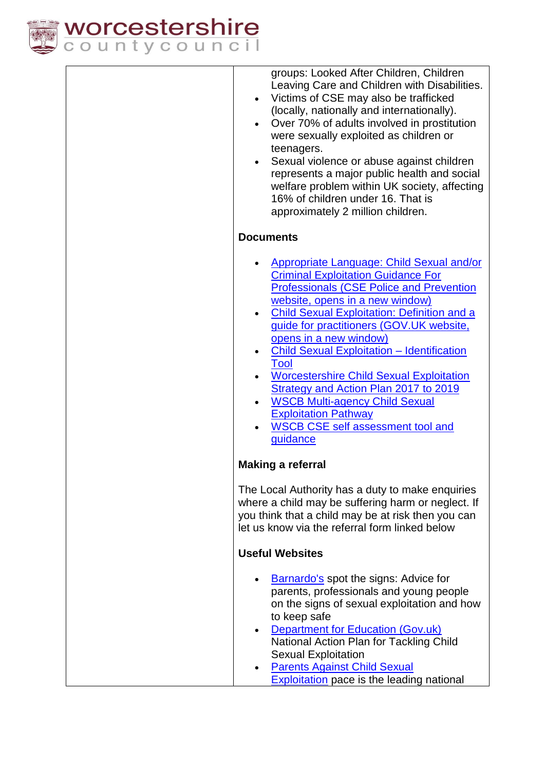

groups: Looked After Children, Children Leaving Care and Children with Disabilities.

- Victims of CSE may also be trafficked (locally, nationally and internationally).
- Over 70% of adults involved in prostitution were sexually exploited as children or teenagers.
- Sexual violence or abuse against children represents a major public health and social welfare problem within UK society, affecting 16% of children under 16. That is approximately 2 million children.

# **Documents**

- [Appropriate Language: Child Sexual and/or](https://www.csepoliceandprevention.org.uk/sites/default/files/Guidance%20App%20Language%20Toolkit.pdf)  [Criminal Exploitation Guidance For](https://www.csepoliceandprevention.org.uk/sites/default/files/Guidance%20App%20Language%20Toolkit.pdf)  [Professionals \(CSE Police and Prevention](https://www.csepoliceandprevention.org.uk/sites/default/files/Guidance%20App%20Language%20Toolkit.pdf)  [website, opens in a new window\)](https://www.csepoliceandprevention.org.uk/sites/default/files/Guidance%20App%20Language%20Toolkit.pdf)
- [Child Sexual Exploitation: Definition and a](https://www.gov.uk/government/publications/child-sexual-exploitation-definition-and-guide-for-practitioners)  [guide for practitioners \(GOV.UK website,](https://www.gov.uk/government/publications/child-sexual-exploitation-definition-and-guide-for-practitioners)  [opens in a new window\)](https://www.gov.uk/government/publications/child-sexual-exploitation-definition-and-guide-for-practitioners)
- [Child Sexual Exploitation –](http://www.worcestershire.gov.uk/downloads/file/7102/child_sexual_exploitation_%E2%80%93_identification_tool) Identification [Tool](http://www.worcestershire.gov.uk/downloads/file/7102/child_sexual_exploitation_%E2%80%93_identification_tool)
- [Worcestershire Child Sexual Exploitation](http://www.worcestershire.gov.uk/downloads/file/6224/worcestershire_child_sexual_exploitation_strategy_and_action_plan_2015_to_2017)  [Strategy and Action Plan 2017](http://www.worcestershire.gov.uk/downloads/file/6224/worcestershire_child_sexual_exploitation_strategy_and_action_plan_2015_to_2017) to 2019
- [WSCB Multi-agency Child Sexual](http://www.worcestershire.gov.uk/downloads/file/7103/wscb_multi-agency_child_sexual_exploitation_pathway)  [Exploitation Pathway](http://www.worcestershire.gov.uk/downloads/file/7103/wscb_multi-agency_child_sexual_exploitation_pathway)
- [WSCB CSE self assessment tool and](http://www.worcestershire.gov.uk/downloads/file/9131/wscb_cse_self_assessment_tool_and_guidance)  [guidance](http://www.worcestershire.gov.uk/downloads/file/9131/wscb_cse_self_assessment_tool_and_guidance)

## **Making a referral**

The Local Authority has a duty to make enquiries where a child may be suffering harm or neglect. If you think that a child may be at risk then you can let us know via the referral form linked below

## **Useful Websites**

| $\bullet$ | Barnardo's spot the signs: Advice for           |
|-----------|-------------------------------------------------|
|           | parents, professionals and young people         |
|           | on the signs of sexual exploitation and how     |
|           | to keep safe                                    |
|           | $D$ anartmant for $E$ ducation $(D_{\alpha},L)$ |

- [Department for Education \(Gov.uk\)](https://www.gov.uk/government/publications/what-to-do-if-you-suspect-a-child-is-being-sexually-exploited) National Action Plan for Tackling Child Sexual Exploitation
- [Parents Against Child Sexual](http://www.paceuk.info/)  **[Exploitation](http://www.paceuk.info/)** pace is the leading national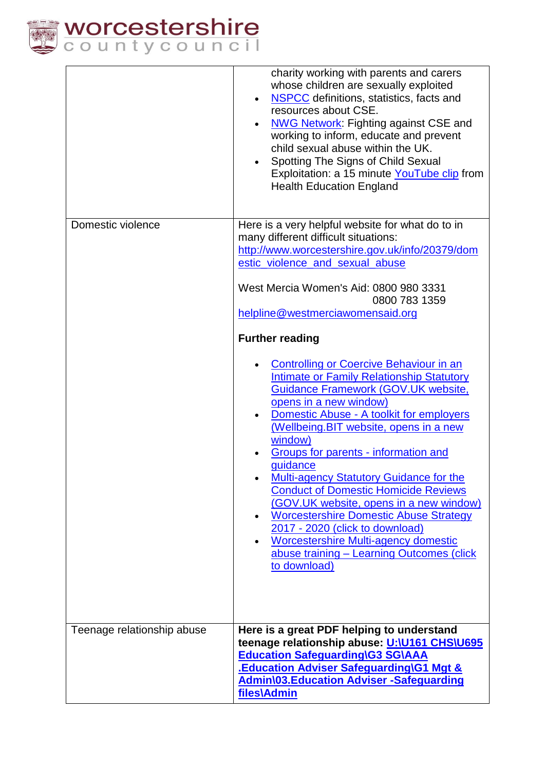

|                            | charity working with parents and carers<br>whose children are sexually exploited<br>NSPCC definitions, statistics, facts and<br>resources about CSE.<br><b>NWG Network: Fighting against CSE and</b><br>working to inform, educate and prevent<br>child sexual abuse within the UK.<br>Spotting The Signs of Child Sexual<br>Exploitation: a 15 minute YouTube clip from<br><b>Health Education England</b>                                                                                                                                                                                                                                                                                                                                                                                                                                                                                                                                                              |
|----------------------------|--------------------------------------------------------------------------------------------------------------------------------------------------------------------------------------------------------------------------------------------------------------------------------------------------------------------------------------------------------------------------------------------------------------------------------------------------------------------------------------------------------------------------------------------------------------------------------------------------------------------------------------------------------------------------------------------------------------------------------------------------------------------------------------------------------------------------------------------------------------------------------------------------------------------------------------------------------------------------|
| Domestic violence          | Here is a very helpful website for what do to in<br>many different difficult situations:<br>http://www.worcestershire.gov.uk/info/20379/dom<br>estic_violence_and_sexual_abuse<br>West Mercia Women's Aid: 0800 980 3331<br>0800 783 1359<br>helpline@westmerciawomensaid.org<br><b>Further reading</b><br><b>Controlling or Coercive Behaviour in an</b><br><b>Intimate or Family Relationship Statutory</b><br>Guidance Framework (GOV.UK website,<br>opens in a new window)<br>Domestic Abuse - A toolkit for employers<br>(Wellbeing.BIT website, opens in a new<br>window)<br>Groups for parents - information and<br>guidance<br>Multi-agency Statutory Guidance for the<br><b>Conduct of Domestic Homicide Reviews</b><br>(GOV.UK website, opens in a new window)<br><b>Worcestershire Domestic Abuse Strategy</b><br>2017 - 2020 (click to download)<br><b>Worcestershire Multi-agency domestic</b><br>abuse training - Learning Outcomes (click<br>to download) |
| Teenage relationship abuse | Here is a great PDF helping to understand<br>teenage relationship abuse: U:\U161 CHS\U695<br><b>Education Safeguarding\G3 SG\AAA</b><br><b>Education Adviser Safeguarding\G1 Mgt &amp;</b><br><b>Admin\03.Education Adviser -Safeguarding</b><br>files\Admin                                                                                                                                                                                                                                                                                                                                                                                                                                                                                                                                                                                                                                                                                                             |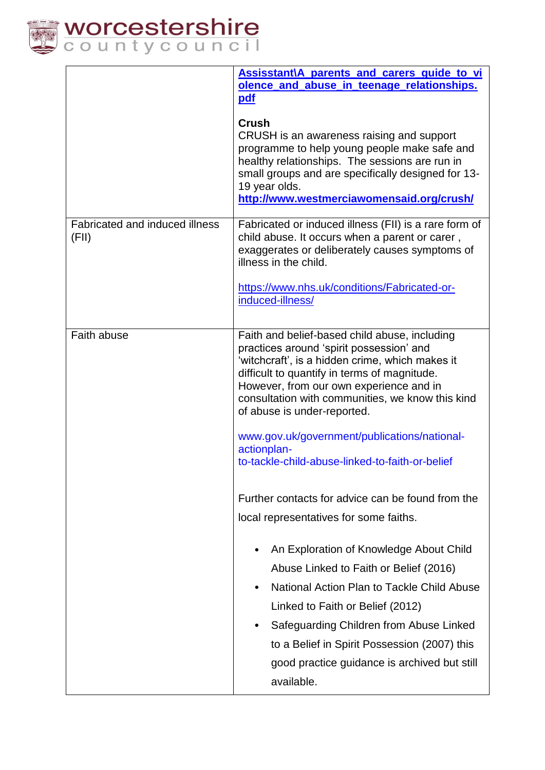

|                                         | Assisstant\A parents and carers guide to vi<br>olence and abuse in teenage relationships.<br>pdf<br>Crush<br>CRUSH is an awareness raising and support<br>programme to help young people make safe and<br>healthy relationships. The sessions are run in<br>small groups and are specifically designed for 13-<br>19 year olds.<br>http://www.westmerciawomensaid.org/crush/                                                                                                                                                                                                                                                                                                                                                                                                                                                                                                |
|-----------------------------------------|-----------------------------------------------------------------------------------------------------------------------------------------------------------------------------------------------------------------------------------------------------------------------------------------------------------------------------------------------------------------------------------------------------------------------------------------------------------------------------------------------------------------------------------------------------------------------------------------------------------------------------------------------------------------------------------------------------------------------------------------------------------------------------------------------------------------------------------------------------------------------------|
| Fabricated and induced illness<br>(FII) | Fabricated or induced illness (FII) is a rare form of<br>child abuse. It occurs when a parent or carer,<br>exaggerates or deliberately causes symptoms of<br>illness in the child.<br>https://www.nhs.uk/conditions/Fabricated-or-<br>induced-illness/                                                                                                                                                                                                                                                                                                                                                                                                                                                                                                                                                                                                                      |
| Faith abuse                             | Faith and belief-based child abuse, including<br>practices around 'spirit possession' and<br>'witchcraft', is a hidden crime, which makes it<br>difficult to quantify in terms of magnitude.<br>However, from our own experience and in<br>consultation with communities, we know this kind<br>of abuse is under-reported.<br>www.gov.uk/government/publications/national-<br>actionplan-<br>to-tackle-child-abuse-linked-to-faith-or-belief<br>Further contacts for advice can be found from the<br>local representatives for some faiths.<br>An Exploration of Knowledge About Child<br>Abuse Linked to Faith or Belief (2016)<br>National Action Plan to Tackle Child Abuse<br>Linked to Faith or Belief (2012)<br>Safeguarding Children from Abuse Linked<br>to a Belief in Spirit Possession (2007) this<br>good practice guidance is archived but still<br>available. |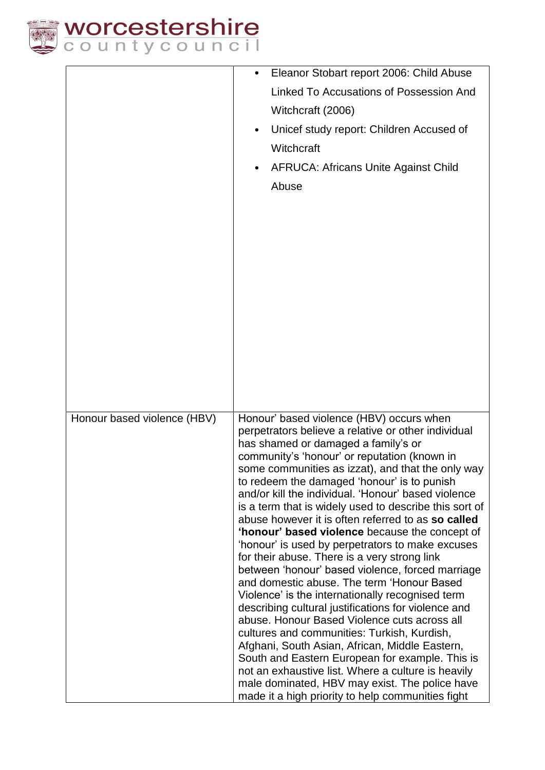

|                             | Eleanor Stobart report 2006: Child Abuse                                                                      |
|-----------------------------|---------------------------------------------------------------------------------------------------------------|
|                             | Linked To Accusations of Possession And                                                                       |
|                             | Witchcraft (2006)                                                                                             |
|                             | Unicef study report: Children Accused of                                                                      |
|                             | Witchcraft                                                                                                    |
|                             |                                                                                                               |
|                             | <b>AFRUCA: Africans Unite Against Child</b>                                                                   |
|                             | Abuse                                                                                                         |
|                             |                                                                                                               |
|                             |                                                                                                               |
|                             |                                                                                                               |
|                             |                                                                                                               |
|                             |                                                                                                               |
|                             |                                                                                                               |
|                             |                                                                                                               |
|                             |                                                                                                               |
|                             |                                                                                                               |
|                             |                                                                                                               |
|                             |                                                                                                               |
|                             |                                                                                                               |
|                             |                                                                                                               |
| Honour based violence (HBV) | Honour' based violence (HBV) occurs when                                                                      |
|                             | perpetrators believe a relative or other individual<br>has shamed or damaged a family's or                    |
|                             | community's 'honour' or reputation (known in                                                                  |
|                             | some communities as izzat), and that the only way                                                             |
|                             | to redeem the damaged 'honour' is to punish                                                                   |
|                             | and/or kill the individual. 'Honour' based violence<br>is a term that is widely used to describe this sort of |
|                             | abuse however it is often referred to as so called                                                            |
|                             | 'honour' based violence because the concept of                                                                |
|                             | 'honour' is used by perpetrators to make excuses                                                              |
|                             | for their abuse. There is a very strong link<br>between 'honour' based violence, forced marriage              |
|                             | and domestic abuse. The term 'Honour Based                                                                    |
|                             | Violence' is the internationally recognised term                                                              |
|                             | describing cultural justifications for violence and                                                           |
|                             | abuse. Honour Based Violence cuts across all<br>cultures and communities: Turkish, Kurdish,                   |
|                             | Afghani, South Asian, African, Middle Eastern,                                                                |
|                             | South and Eastern European for example. This is                                                               |
|                             | not an exhaustive list. Where a culture is heavily<br>male dominated, HBV may exist. The police have          |
|                             | made it a high priority to help communities fight                                                             |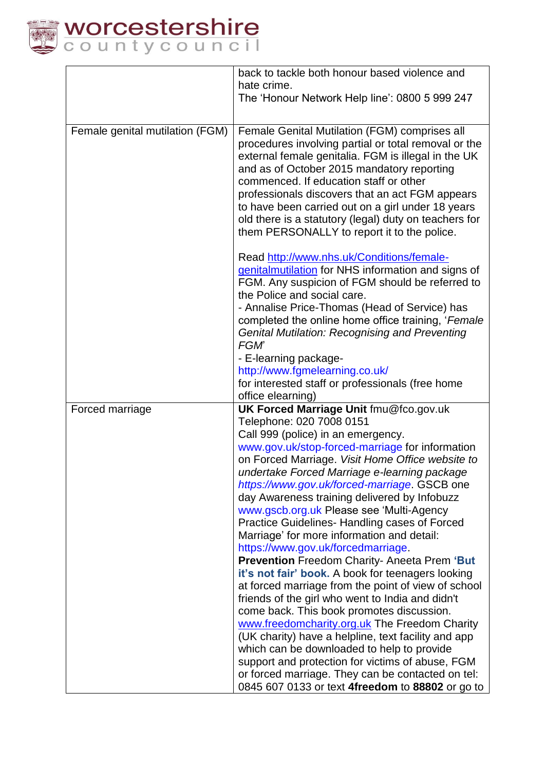

|                                 | back to tackle both honour based violence and                                         |
|---------------------------------|---------------------------------------------------------------------------------------|
|                                 | hate crime.                                                                           |
|                                 | The 'Honour Network Help line': 0800 5 999 247                                        |
|                                 |                                                                                       |
| Female genital mutilation (FGM) | Female Genital Mutilation (FGM) comprises all                                         |
|                                 | procedures involving partial or total removal or the                                  |
|                                 | external female genitalia. FGM is illegal in the UK                                   |
|                                 | and as of October 2015 mandatory reporting                                            |
|                                 | commenced. If education staff or other                                                |
|                                 | professionals discovers that an act FGM appears                                       |
|                                 | to have been carried out on a girl under 18 years                                     |
|                                 | old there is a statutory (legal) duty on teachers for                                 |
|                                 | them PERSONALLY to report it to the police.                                           |
|                                 | Read http://www.nhs.uk/Conditions/female-                                             |
|                                 | genitalmutilation for NHS information and signs of                                    |
|                                 | FGM. Any suspicion of FGM should be referred to                                       |
|                                 | the Police and social care.                                                           |
|                                 | - Annalise Price-Thomas (Head of Service) has                                         |
|                                 | completed the online home office training, 'Female                                    |
|                                 | <b>Genital Mutilation: Recognising and Preventing</b>                                 |
|                                 | <b>FGM</b>                                                                            |
|                                 | - E-learning package-                                                                 |
|                                 | http://www.fgmelearning.co.uk/                                                        |
|                                 | for interested staff or professionals (free home                                      |
|                                 | office elearning)                                                                     |
| Forced marriage                 | UK Forced Marriage Unit fmu@fco.gov.uk                                                |
|                                 | Telephone: 020 7008 0151                                                              |
|                                 | Call 999 (police) in an emergency.<br>www.gov.uk/stop-forced-marriage for information |
|                                 | on Forced Marriage. Visit Home Office website to                                      |
|                                 | undertake Forced Marriage e-learning package                                          |
|                                 | https://www.gov.uk/forced-marriage. GSCB one                                          |
|                                 | day Awareness training delivered by Infobuzz                                          |
|                                 | www.gscb.org.uk Please see 'Multi-Agency                                              |
|                                 | Practice Guidelines- Handling cases of Forced                                         |
|                                 | Marriage' for more information and detail:                                            |
|                                 | https://www.gov.uk/forcedmarriage.                                                    |
|                                 | <b>Prevention Freedom Charity- Aneeta Prem 'But</b>                                   |
|                                 | it's not fair' book. A book for teenagers looking                                     |
|                                 | at forced marriage from the point of view of school                                   |
|                                 | friends of the girl who went to India and didn't                                      |
|                                 | come back. This book promotes discussion.                                             |
|                                 | www.freedomcharity.org.uk The Freedom Charity                                         |
|                                 | (UK charity) have a helpline, text facility and app                                   |
|                                 | which can be downloaded to help to provide                                            |
|                                 | support and protection for victims of abuse, FGM                                      |
|                                 | or forced marriage. They can be contacted on tel:                                     |
|                                 | 0845 607 0133 or text 4freedom to 88802 or go to                                      |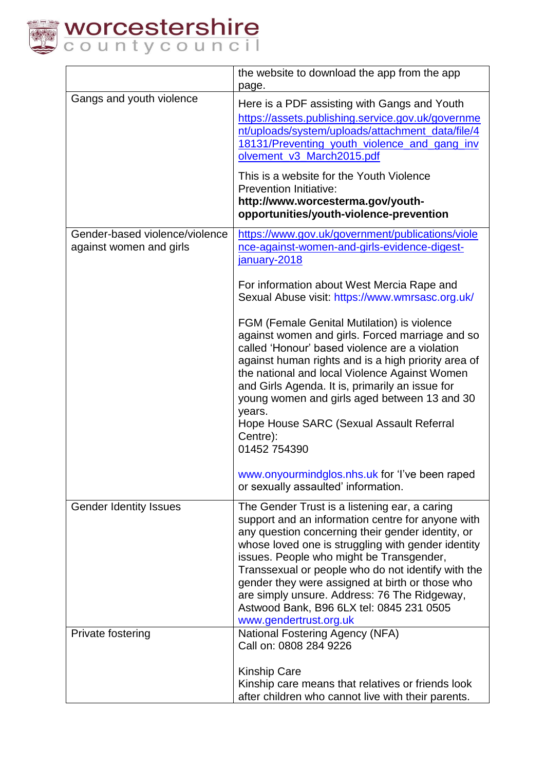

|                                                           | the website to download the app from the app<br>page.                                                                                                                                                                                                                                                                                                                                                                                                                                                                                                                                                                                                                                                                                                              |
|-----------------------------------------------------------|--------------------------------------------------------------------------------------------------------------------------------------------------------------------------------------------------------------------------------------------------------------------------------------------------------------------------------------------------------------------------------------------------------------------------------------------------------------------------------------------------------------------------------------------------------------------------------------------------------------------------------------------------------------------------------------------------------------------------------------------------------------------|
| Gangs and youth violence                                  | Here is a PDF assisting with Gangs and Youth<br>https://assets.publishing.service.gov.uk/governme<br>nt/uploads/system/uploads/attachment_data/file/4<br>18131/Preventing youth violence and gang inv<br>olvement_v3_March2015.pdf<br>This is a website for the Youth Violence<br><b>Prevention Initiative:</b><br>http://www.worcesterma.gov/youth-<br>opportunities/youth-violence-prevention                                                                                                                                                                                                                                                                                                                                                                    |
| Gender-based violence/violence<br>against women and girls | https://www.gov.uk/government/publications/viole<br>nce-against-women-and-girls-evidence-digest-<br>january-2018<br>For information about West Mercia Rape and<br>Sexual Abuse visit: https://www.wmrsasc.org.uk/<br><b>FGM (Female Genital Mutilation) is violence</b><br>against women and girls. Forced marriage and so<br>called 'Honour' based violence are a violation<br>against human rights and is a high priority area of<br>the national and local Violence Against Women<br>and Girls Agenda. It is, primarily an issue for<br>young women and girls aged between 13 and 30<br>years.<br>Hope House SARC (Sexual Assault Referral<br>Centre):<br>01452 754390<br>www.onyourmindglos.nhs.uk for 'I've been raped<br>or sexually assaulted' information. |
| <b>Gender Identity Issues</b>                             | The Gender Trust is a listening ear, a caring<br>support and an information centre for anyone with<br>any question concerning their gender identity, or<br>whose loved one is struggling with gender identity<br>issues. People who might be Transgender,<br>Transsexual or people who do not identify with the<br>gender they were assigned at birth or those who<br>are simply unsure. Address: 76 The Ridgeway,<br>Astwood Bank, B96 6LX tel: 0845 231 0505<br>www.gendertrust.org.uk                                                                                                                                                                                                                                                                           |
| Private fostering                                         | <b>National Fostering Agency (NFA)</b><br>Call on: 0808 284 9226<br><b>Kinship Care</b><br>Kinship care means that relatives or friends look<br>after children who cannot live with their parents.                                                                                                                                                                                                                                                                                                                                                                                                                                                                                                                                                                 |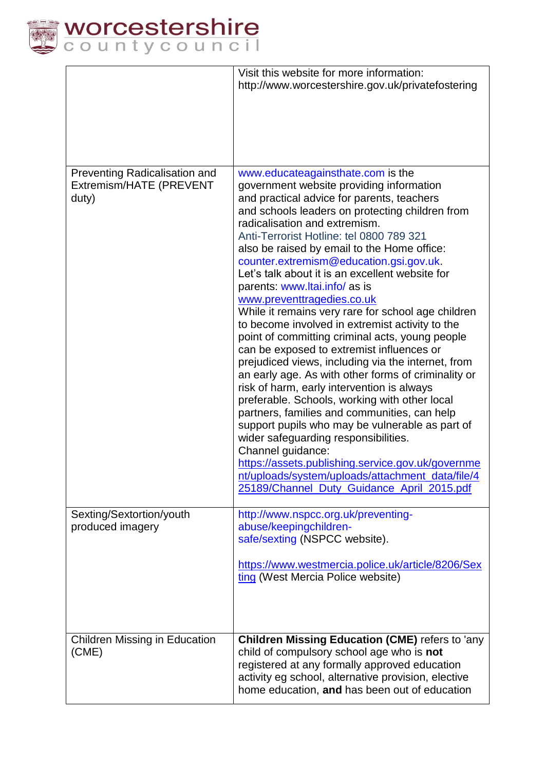

|                                                                   | Visit this website for more information:<br>http://www.worcestershire.gov.uk/privatefostering                                                                                                                                                                                                                                                                                                                                                                                                                                                                                                                                                                                                                                                                                                                                                                                                                                                                                                                                                                                                                                                                                                                       |
|-------------------------------------------------------------------|---------------------------------------------------------------------------------------------------------------------------------------------------------------------------------------------------------------------------------------------------------------------------------------------------------------------------------------------------------------------------------------------------------------------------------------------------------------------------------------------------------------------------------------------------------------------------------------------------------------------------------------------------------------------------------------------------------------------------------------------------------------------------------------------------------------------------------------------------------------------------------------------------------------------------------------------------------------------------------------------------------------------------------------------------------------------------------------------------------------------------------------------------------------------------------------------------------------------|
| Preventing Radicalisation and<br>Extremism/HATE (PREVENT<br>duty) | www.educateagainsthate.com is the<br>government website providing information<br>and practical advice for parents, teachers<br>and schools leaders on protecting children from<br>radicalisation and extremism.<br>Anti-Terrorist Hotline: tel 0800 789 321<br>also be raised by email to the Home office:<br>counter.extremism@education.gsi.gov.uk.<br>Let's talk about it is an excellent website for<br>parents: www.ltai.info/ as is<br>www.preventtragedies.co.uk<br>While it remains very rare for school age children<br>to become involved in extremist activity to the<br>point of committing criminal acts, young people<br>can be exposed to extremist influences or<br>prejudiced views, including via the internet, from<br>an early age. As with other forms of criminality or<br>risk of harm, early intervention is always<br>preferable. Schools, working with other local<br>partners, families and communities, can help<br>support pupils who may be vulnerable as part of<br>wider safeguarding responsibilities.<br>Channel guidance:<br>https://assets.publishing.service.gov.uk/governme<br>nt/uploads/system/uploads/attachment_data/file/4<br>25189/Channel Duty Guidance April 2015.pdf |
| Sexting/Sextortion/youth<br>produced imagery                      | http://www.nspcc.org.uk/preventing-<br>abuse/keepingchildren-<br>safe/sexting (NSPCC website).<br>https://www.westmercia.police.uk/article/8206/Sex<br>ting (West Mercia Police website)                                                                                                                                                                                                                                                                                                                                                                                                                                                                                                                                                                                                                                                                                                                                                                                                                                                                                                                                                                                                                            |
| <b>Children Missing in Education</b><br>(CME)                     | <b>Children Missing Education (CME)</b> refers to 'any<br>child of compulsory school age who is not<br>registered at any formally approved education<br>activity eg school, alternative provision, elective<br>home education, and has been out of education                                                                                                                                                                                                                                                                                                                                                                                                                                                                                                                                                                                                                                                                                                                                                                                                                                                                                                                                                        |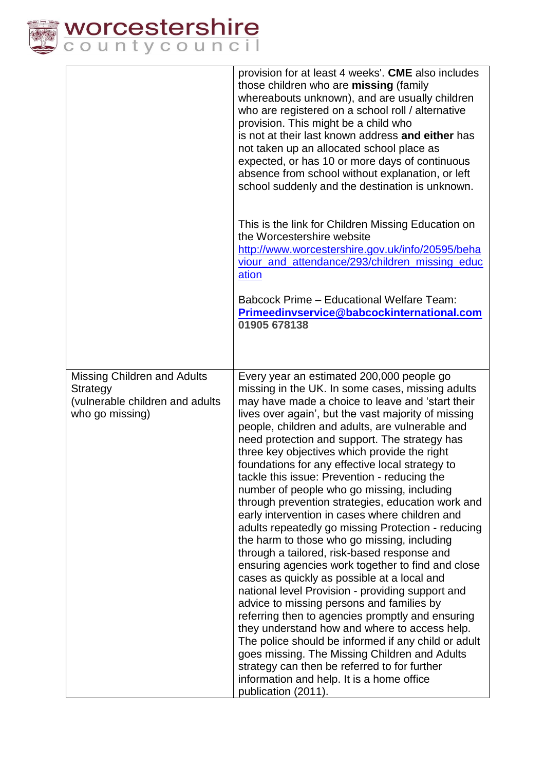

|                                                                                                      | provision for at least 4 weeks'. CME also includes<br>those children who are missing (family<br>whereabouts unknown), and are usually children<br>who are registered on a school roll / alternative<br>provision. This might be a child who<br>is not at their last known address and either has<br>not taken up an allocated school place as<br>expected, or has 10 or more days of continuous<br>absence from school without explanation, or left<br>school suddenly and the destination is unknown.                                                                                                                                                                                                                                                                                                                                                                                                                                                                                                                                                                                                                                                                                                                                                                                                         |
|------------------------------------------------------------------------------------------------------|----------------------------------------------------------------------------------------------------------------------------------------------------------------------------------------------------------------------------------------------------------------------------------------------------------------------------------------------------------------------------------------------------------------------------------------------------------------------------------------------------------------------------------------------------------------------------------------------------------------------------------------------------------------------------------------------------------------------------------------------------------------------------------------------------------------------------------------------------------------------------------------------------------------------------------------------------------------------------------------------------------------------------------------------------------------------------------------------------------------------------------------------------------------------------------------------------------------------------------------------------------------------------------------------------------------|
|                                                                                                      | This is the link for Children Missing Education on<br>the Worcestershire website<br>http://www.worcestershire.gov.uk/info/20595/beha<br>viour_and_attendance/293/children_missing_educ<br>ation<br><b>Babcock Prime - Educational Welfare Team:</b>                                                                                                                                                                                                                                                                                                                                                                                                                                                                                                                                                                                                                                                                                                                                                                                                                                                                                                                                                                                                                                                            |
|                                                                                                      | Primeedinvservice@babcockinternational.com<br>01905 678138                                                                                                                                                                                                                                                                                                                                                                                                                                                                                                                                                                                                                                                                                                                                                                                                                                                                                                                                                                                                                                                                                                                                                                                                                                                     |
| <b>Missing Children and Adults</b><br>Strategy<br>(vulnerable children and adults<br>who go missing) | Every year an estimated 200,000 people go<br>missing in the UK. In some cases, missing adults<br>may have made a choice to leave and 'start their<br>lives over again', but the vast majority of missing<br>people, children and adults, are vulnerable and<br>need protection and support. The strategy has<br>three key objectives which provide the right<br>foundations for any effective local strategy to<br>tackle this issue: Prevention - reducing the<br>number of people who go missing, including<br>through prevention strategies, education work and<br>early intervention in cases where children and<br>adults repeatedly go missing Protection - reducing<br>the harm to those who go missing, including<br>through a tailored, risk-based response and<br>ensuring agencies work together to find and close<br>cases as quickly as possible at a local and<br>national level Provision - providing support and<br>advice to missing persons and families by<br>referring then to agencies promptly and ensuring<br>they understand how and where to access help.<br>The police should be informed if any child or adult<br>goes missing. The Missing Children and Adults<br>strategy can then be referred to for further<br>information and help. It is a home office<br>publication (2011). |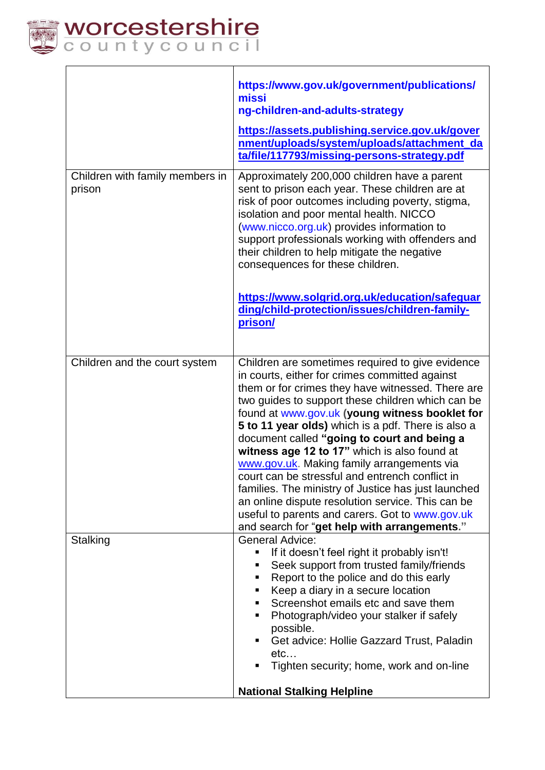

| Children with family members in<br>prison | https://www.gov.uk/government/publications/<br>missi<br>ng-children-and-adults-strategy<br>https://assets.publishing.service.gov.uk/gover<br>nment/uploads/system/uploads/attachment_da<br>ta/file/117793/missing-persons-strategy.pdf<br>Approximately 200,000 children have a parent<br>sent to prison each year. These children are at<br>risk of poor outcomes including poverty, stigma,<br>isolation and poor mental health. NICCO<br>(www.nicco.org.uk) provides information to<br>support professionals working with offenders and<br>their children to help mitigate the negative<br>consequences for these children.<br>https://www.solgrid.org.uk/education/safeguar<br>ding/child-protection/issues/children-family-<br>prison/ |  |
|-------------------------------------------|---------------------------------------------------------------------------------------------------------------------------------------------------------------------------------------------------------------------------------------------------------------------------------------------------------------------------------------------------------------------------------------------------------------------------------------------------------------------------------------------------------------------------------------------------------------------------------------------------------------------------------------------------------------------------------------------------------------------------------------------|--|
| Children and the court system             | Children are sometimes required to give evidence<br>in courts, either for crimes committed against<br>them or for crimes they have witnessed. There are<br>two guides to support these children which can be<br>found at www.gov.uk (young witness booklet for<br>5 to 11 year olds) which is a pdf. There is also a<br>document called "going to court and being a<br>witness age 12 to 17" which is also found at<br>www.gov.uk. Making family arrangements via<br>court can be stressful and entrench conflict in<br>families. The ministry of Justice has just launched<br>an online dispute resolution service. This can be<br>useful to parents and carers. Got to www.gov.uk                                                         |  |
| Stalking                                  | and search for "get help with arrangements."<br><b>General Advice:</b><br>If it doesn't feel right it probably isn't!<br>П<br>Seek support from trusted family/friends<br>٠<br>Report to the police and do this early<br>٠<br>Keep a diary in a secure location<br>٠<br>Screenshot emails etc and save them<br>Photograph/video your stalker if safely<br>٠<br>possible.<br>Get advice: Hollie Gazzard Trust, Paladin<br>п<br>etc<br>Tighten security; home, work and on-line<br><b>National Stalking Helpline</b>                                                                                                                                                                                                                          |  |